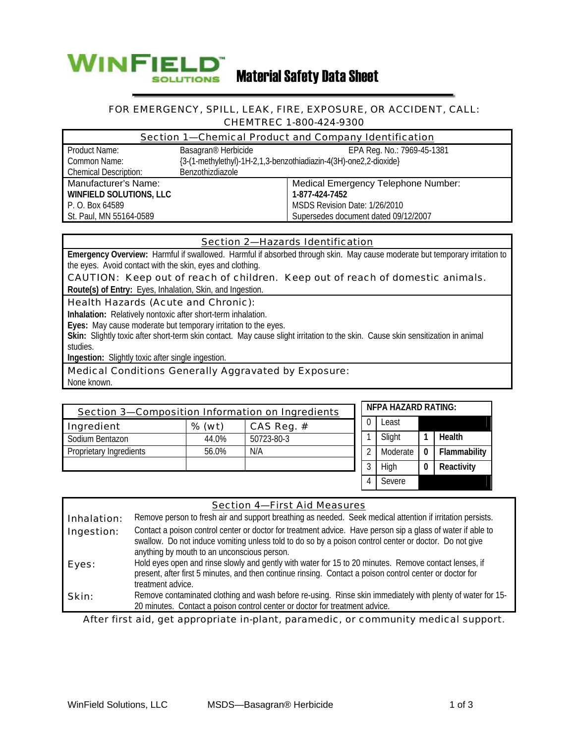

#### FOR EMERGENCY, SPILL, LEAK, FIRE, EXPOSURE, OR ACCIDENT, CALL: CHEMTREC 1-800-424-9300

| Section 1-Chemical Product and Company Identification |                                                                   |                                      |  |  |
|-------------------------------------------------------|-------------------------------------------------------------------|--------------------------------------|--|--|
| Product Name:                                         | Basagran <sup>®</sup> Herbicide                                   | EPA Reg. No.: 7969-45-1381           |  |  |
| Common Name:                                          | {3-(1-methylethyl)-1H-2,1,3-benzothiadiazin-4(3H)-one2,2-dioxide} |                                      |  |  |
| <b>Chemical Description:</b>                          | Benzothizdiazole                                                  |                                      |  |  |
| Manufacturer's Name:                                  |                                                                   | Medical Emergency Telephone Number:  |  |  |
| WINFIELD SOLUTIONS, LLC                               |                                                                   | 1-877-424-7452                       |  |  |
| P. O. Box 64589                                       |                                                                   | MSDS Revision Date: 1/26/2010        |  |  |
| St. Paul, MN 55164-0589                               |                                                                   | Supersedes document dated 09/12/2007 |  |  |

# Section 2—Hazards Identification

**Emergency Overview:** Harmful if swallowed. Harmful if absorbed through skin. May cause moderate but temporary irritation to the eyes. Avoid contact with the skin, eyes and clothing.

CAUTION: Keep out of reach of children. Keep out of reach of domestic animals. **Route(s) of Entry:** Eyes, Inhalation, Skin, and Ingestion.

# Health Hazards (Acute and Chronic):

**Inhalation:** Relatively nontoxic after short-term inhalation.

**Eyes:** May cause moderate but temporary irritation to the eyes.

**Skin:** Slightly toxic after short-term skin contact. May cause slight irritation to the skin. Cause skin sensitization in animal studies.

**Ingestion:** Slightly toxic after single ingestion.

# Medical Conditions Generally Aggravated by Exposure:

None known.

| Section 3-Composition Information on Ingredients |          |            | <b>NFPA HAZARD RATING:</b> |  |          |   |              |
|--------------------------------------------------|----------|------------|----------------------------|--|----------|---|--------------|
| Ingredient                                       | $%$ (wt) | CAS Reg. # |                            |  | Least    |   |              |
| Sodium Bentazon                                  | 44.0%    | 50723-80-3 |                            |  | Slight   |   | Health       |
| Proprietary Ingredients                          | 56.0%    | N/A        |                            |  | Moderate | 0 | Flammability |
|                                                  |          |            |                            |  | High     |   | Reactivity   |
|                                                  |          |            |                            |  | Severe   |   |              |

| <b>Section 4-First Aid Measures</b> |                                                                                                                                                                                                                                                                      |  |  |  |
|-------------------------------------|----------------------------------------------------------------------------------------------------------------------------------------------------------------------------------------------------------------------------------------------------------------------|--|--|--|
| Inhalation:                         | Remove person to fresh air and support breathing as needed. Seek medical attention if irritation persists.                                                                                                                                                           |  |  |  |
| Ingestion:                          | Contact a poison control center or doctor for treatment advice. Have person sip a glass of water if able to<br>swallow. Do not induce vomiting unless told to do so by a poison control center or doctor. Do not give<br>anything by mouth to an unconscious person. |  |  |  |
| Eyes:                               | Hold eyes open and rinse slowly and gently with water for 15 to 20 minutes. Remove contact lenses, if<br>present, after first 5 minutes, and then continue rinsing. Contact a poison control center or doctor for<br>treatment advice.                               |  |  |  |
| Skin:                               | Remove contaminated clothing and wash before re-using. Rinse skin immediately with plenty of water for 15-<br>20 minutes. Contact a poison control center or doctor for treatment advice.                                                                            |  |  |  |

After first aid, get appropriate in-plant, paramedic, or community medical support.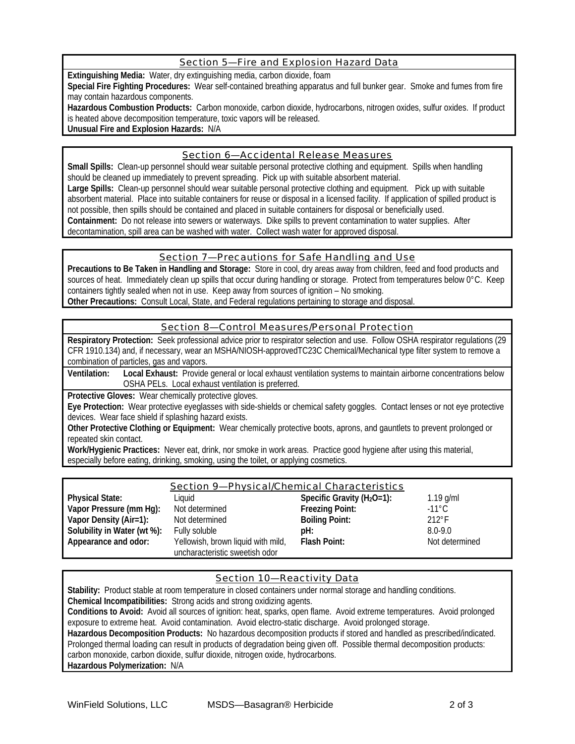# Section 5—Fire and Explosion Hazard Data

**Extinguishing Media:** Water, dry extinguishing media, carbon dioxide, foam

**Special Fire Fighting Procedures:** Wear self-contained breathing apparatus and full bunker gear. Smoke and fumes from fire may contain hazardous components.

Hazardous Combustion Products: Carbon monoxide, carbon dioxide, hydrocarbons, nitrogen oxides, sulfur oxides. If product is heated above decomposition temperature, toxic vapors will be released.

**Unusual Fire and Explosion Hazards:** N/A

# Section 6—Accidental Release Measures

**Small Spills:** Clean-up personnel should wear suitable personal protective clothing and equipment. Spills when handling should be cleaned up immediately to prevent spreading. Pick up with suitable absorbent material. **Large Spills:** Clean-up personnel should wear suitable personal protective clothing and equipment. Pick up with suitable absorbent material. Place into suitable containers for reuse or disposal in a licensed facility. If application of spilled product is not possible, then spills should be contained and placed in suitable containers for disposal or beneficially used.

**Containment:** Do not release into sewers or waterways. Dike spills to prevent contamination to water supplies. After decontamination, spill area can be washed with water. Collect wash water for approved disposal.

#### Section 7—Precautions for Safe Handling and Use

**Precautions to Be Taken in Handling and Storage:** Store in cool, dry areas away from children, feed and food products and sources of heat. Immediately clean up spills that occur during handling or storage. Protect from temperatures below 0°C. Keep containers tightly sealed when not in use. Keep away from sources of ignition – No smoking. **Other Precautions:** Consult Local, State, and Federal regulations pertaining to storage and disposal.

# Section 8—Control Measures/Personal Protection

**Respiratory Protection:** Seek professional advice prior to respirator selection and use. Follow OSHA respirator regulations (29 CFR 1910.134) and, if necessary, wear an MSHA/NIOSH-approvedTC23C Chemical/Mechanical type filter system to remove a combination of particles, gas and vapors.

**Ventilation: Local Exhaust:** Provide general or local exhaust ventilation systems to maintain airborne concentrations below OSHA PELs. Local exhaust ventilation is preferred.

**Protective Gloves:** Wear chemically protective gloves.

**Eye Protection:** Wear protective eyeglasses with side-shields or chemical safety goggles. Contact lenses or not eye protective devices. Wear face shield if splashing hazard exists.

**Other Protective Clothing or Equipment:** Wear chemically protective boots, aprons, and gauntlets to prevent prolonged or repeated skin contact.

**Work/Hygienic Practices:** Never eat, drink, nor smoke in work areas. Practice good hygiene after using this material, especially before eating, drinking, smoking, using the toilet, or applying cosmetics.

| <b>Section 9-Physical/Chemical Characteristics</b> |                                                                      |                                |                 |  |
|----------------------------------------------------|----------------------------------------------------------------------|--------------------------------|-----------------|--|
| <b>Physical State:</b>                             | Liquid                                                               | Specific Gravity ( $H_2O=1$ ): | $1.19$ g/ml     |  |
| Vapor Pressure (mm Hg):                            | Not determined                                                       | <b>Freezing Point:</b>         | $-11^{\circ}$ C |  |
| Vapor Density (Air=1):                             | Not determined                                                       | <b>Boiling Point:</b>          | $212^{\circ}F$  |  |
| Solubility in Water (wt %):                        | Fully soluble                                                        | pH:                            | $8.0 - 9.0$     |  |
| Appearance and odor:                               | Yellowish, brown liquid with mild,<br>uncharacteristic sweetish odor | Flash Point:                   | Not determined  |  |

# Section 10—Reactivity Data

**Stability:** Product stable at room temperature in closed containers under normal storage and handling conditions.

**Chemical Incompatibilities:** Strong acids and strong oxidizing agents.

**Conditions to Avoid:** Avoid all sources of ignition: heat, sparks, open flame. Avoid extreme temperatures. Avoid prolonged exposure to extreme heat. Avoid contamination. Avoid electro-static discharge. Avoid prolonged storage.

**Hazardous Decomposition Products:** No hazardous decomposition products if stored and handled as prescribed/indicated. Prolonged thermal loading can result in products of degradation being given off. Possible thermal decomposition products: carbon monoxide, carbon dioxide, sulfur dioxide, nitrogen oxide, hydrocarbons.

**Hazardous Polymerization:** N/A